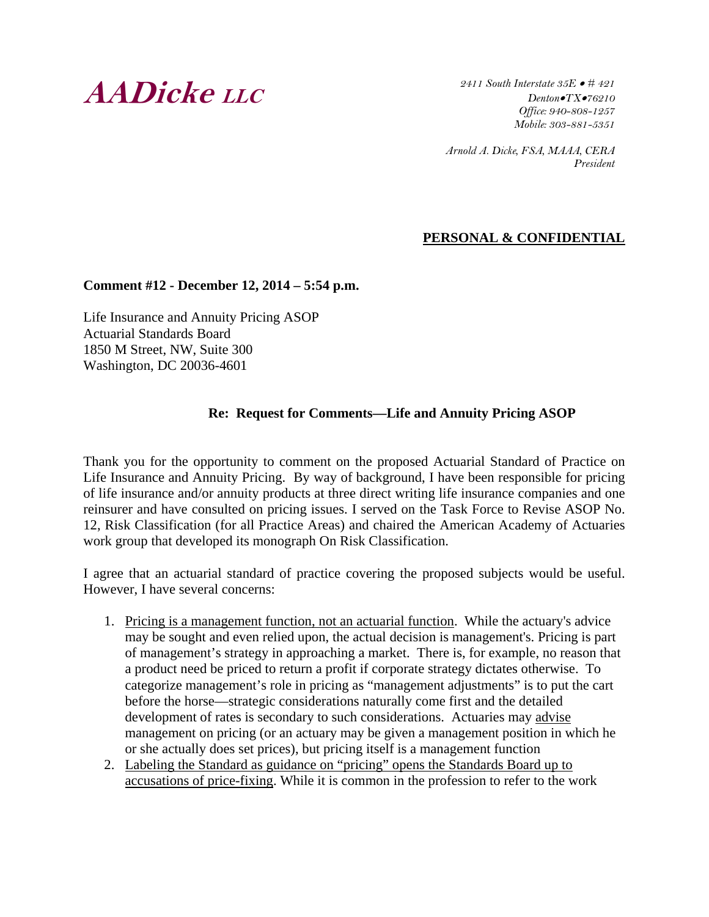# **AADicke LLC**

*2411 South Interstate 35E # 421 DentonTX76210 Office: 940-808-1257 Mobile: 303-881-5351* 

*Arnold A. Dicke, FSA, MAAA, CERA President* 

## **PERSONAL & CONFIDENTIAL**

#### **Comment #12 - December 12, 2014 – 5:54 p.m.**

Life Insurance and Annuity Pricing ASOP Actuarial Standards Board 1850 M Street, NW, Suite 300 Washington, DC 20036-4601

#### **Re: Request for Comments—Life and Annuity Pricing ASOP**

Thank you for the opportunity to comment on the proposed Actuarial Standard of Practice on Life Insurance and Annuity Pricing. By way of background, I have been responsible for pricing of life insurance and/or annuity products at three direct writing life insurance companies and one reinsurer and have consulted on pricing issues. I served on the Task Force to Revise ASOP No. 12, Risk Classification (for all Practice Areas) and chaired the American Academy of Actuaries work group that developed its monograph On Risk Classification.

I agree that an actuarial standard of practice covering the proposed subjects would be useful. However, I have several concerns:

- 1. Pricing is a management function, not an actuarial function. While the actuary's advice may be sought and even relied upon, the actual decision is management's. Pricing is part of management's strategy in approaching a market. There is, for example, no reason that a product need be priced to return a profit if corporate strategy dictates otherwise. To categorize management's role in pricing as "management adjustments" is to put the cart before the horse—strategic considerations naturally come first and the detailed development of rates is secondary to such considerations. Actuaries may advise management on pricing (or an actuary may be given a management position in which he or she actually does set prices), but pricing itself is a management function
- 2. Labeling the Standard as guidance on "pricing" opens the Standards Board up to accusations of price-fixing. While it is common in the profession to refer to the work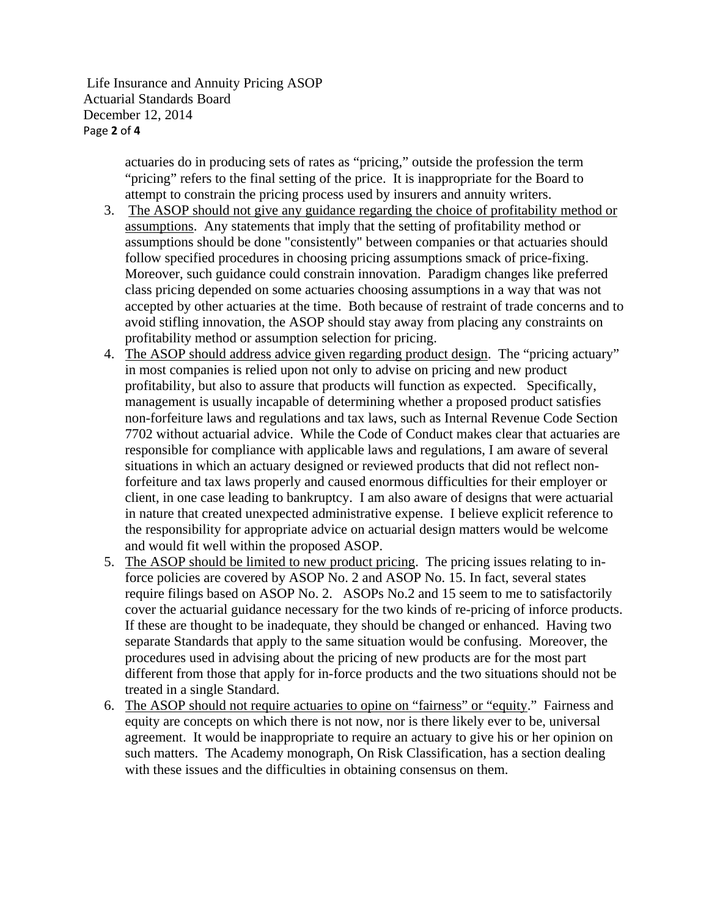Life Insurance and Annuity Pricing ASOP Actuarial Standards Board December 12, 2014 Page **2** of **4**

> actuaries do in producing sets of rates as "pricing," outside the profession the term "pricing" refers to the final setting of the price. It is inappropriate for the Board to attempt to constrain the pricing process used by insurers and annuity writers.

- 3. The ASOP should not give any guidance regarding the choice of profitability method or assumptions. Any statements that imply that the setting of profitability method or assumptions should be done "consistently" between companies or that actuaries should follow specified procedures in choosing pricing assumptions smack of price-fixing. Moreover, such guidance could constrain innovation. Paradigm changes like preferred class pricing depended on some actuaries choosing assumptions in a way that was not accepted by other actuaries at the time. Both because of restraint of trade concerns and to avoid stifling innovation, the ASOP should stay away from placing any constraints on profitability method or assumption selection for pricing.
- 4. The ASOP should address advice given regarding product design. The "pricing actuary" in most companies is relied upon not only to advise on pricing and new product profitability, but also to assure that products will function as expected. Specifically, management is usually incapable of determining whether a proposed product satisfies non-forfeiture laws and regulations and tax laws, such as Internal Revenue Code Section 7702 without actuarial advice. While the Code of Conduct makes clear that actuaries are responsible for compliance with applicable laws and regulations, I am aware of several situations in which an actuary designed or reviewed products that did not reflect nonforfeiture and tax laws properly and caused enormous difficulties for their employer or client, in one case leading to bankruptcy. I am also aware of designs that were actuarial in nature that created unexpected administrative expense. I believe explicit reference to the responsibility for appropriate advice on actuarial design matters would be welcome and would fit well within the proposed ASOP.
- 5. The ASOP should be limited to new product pricing. The pricing issues relating to inforce policies are covered by ASOP No. 2 and ASOP No. 15. In fact, several states require filings based on ASOP No. 2. ASOPs No.2 and 15 seem to me to satisfactorily cover the actuarial guidance necessary for the two kinds of re-pricing of inforce products. If these are thought to be inadequate, they should be changed or enhanced. Having two separate Standards that apply to the same situation would be confusing. Moreover, the procedures used in advising about the pricing of new products are for the most part different from those that apply for in-force products and the two situations should not be treated in a single Standard.
- 6. The ASOP should not require actuaries to opine on "fairness" or "equity." Fairness and equity are concepts on which there is not now, nor is there likely ever to be, universal agreement. It would be inappropriate to require an actuary to give his or her opinion on such matters. The Academy monograph, On Risk Classification, has a section dealing with these issues and the difficulties in obtaining consensus on them.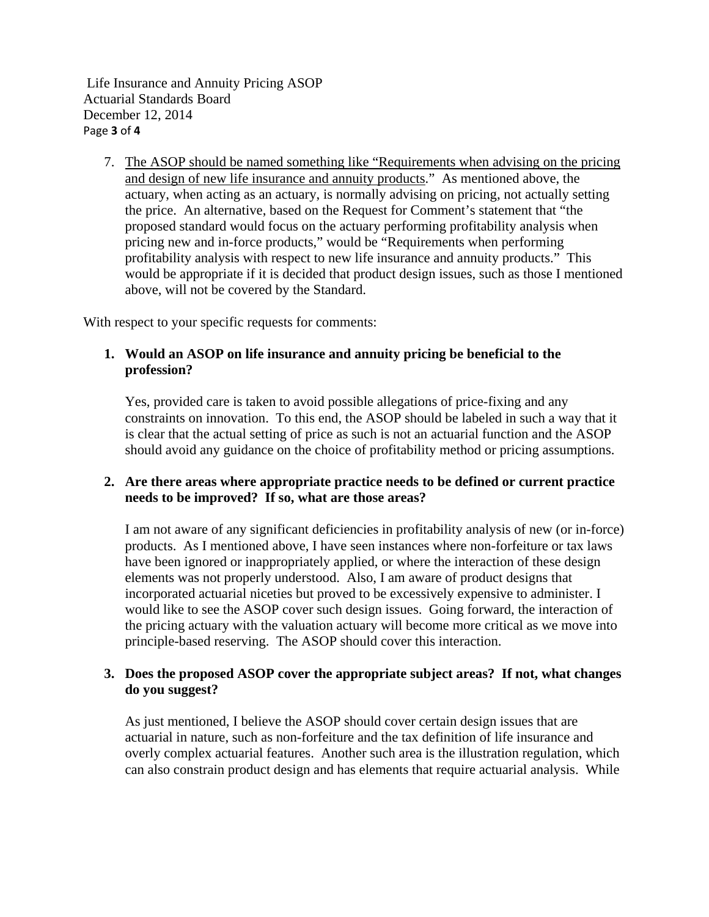Life Insurance and Annuity Pricing ASOP Actuarial Standards Board December 12, 2014 Page **3** of **4**

7. The ASOP should be named something like "Requirements when advising on the pricing and design of new life insurance and annuity products." As mentioned above, the actuary, when acting as an actuary, is normally advising on pricing, not actually setting the price. An alternative, based on the Request for Comment's statement that "the proposed standard would focus on the actuary performing profitability analysis when pricing new and in-force products," would be "Requirements when performing profitability analysis with respect to new life insurance and annuity products." This would be appropriate if it is decided that product design issues, such as those I mentioned above, will not be covered by the Standard.

With respect to your specific requests for comments:

## **1. Would an ASOP on life insurance and annuity pricing be beneficial to the profession?**

Yes, provided care is taken to avoid possible allegations of price-fixing and any constraints on innovation. To this end, the ASOP should be labeled in such a way that it is clear that the actual setting of price as such is not an actuarial function and the ASOP should avoid any guidance on the choice of profitability method or pricing assumptions.

## **2. Are there areas where appropriate practice needs to be defined or current practice needs to be improved? If so, what are those areas?**

I am not aware of any significant deficiencies in profitability analysis of new (or in-force) products. As I mentioned above, I have seen instances where non-forfeiture or tax laws have been ignored or inappropriately applied, or where the interaction of these design elements was not properly understood. Also, I am aware of product designs that incorporated actuarial niceties but proved to be excessively expensive to administer. I would like to see the ASOP cover such design issues. Going forward, the interaction of the pricing actuary with the valuation actuary will become more critical as we move into principle-based reserving. The ASOP should cover this interaction.

#### **3. Does the proposed ASOP cover the appropriate subject areas? If not, what changes do you suggest?**

As just mentioned, I believe the ASOP should cover certain design issues that are actuarial in nature, such as non-forfeiture and the tax definition of life insurance and overly complex actuarial features. Another such area is the illustration regulation, which can also constrain product design and has elements that require actuarial analysis. While